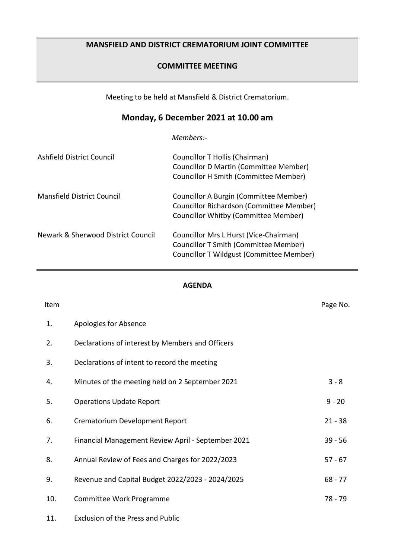## **MANSFIELD AND DISTRICT CREMATORIUM JOINT COMMITTEE**

## **COMMITTEE MEETING**

Meeting to be held at Mansfield & District Crematorium.

## **Monday, 6 December 2021 at 10.00 am**

*Members:-*

| Ashfield District Council          | Councillor T Hollis (Chairman)<br><b>Councillor D Martin (Committee Member)</b><br><b>Councillor H Smith (Committee Member)</b> |
|------------------------------------|---------------------------------------------------------------------------------------------------------------------------------|
| <b>Mansfield District Council</b>  | Councillor A Burgin (Committee Member)<br>Councillor Richardson (Committee Member)<br>Councillor Whitby (Committee Member)      |
| Newark & Sherwood District Council | Councillor Mrs L Hurst (Vice-Chairman)<br>Councillor T Smith (Committee Member)<br>Councillor T Wildgust (Committee Member)     |

## **AGENDA**

| Item |                                                    | Page No.  |
|------|----------------------------------------------------|-----------|
| 1.   | Apologies for Absence                              |           |
| 2.   | Declarations of interest by Members and Officers   |           |
| 3.   | Declarations of intent to record the meeting       |           |
| 4.   | Minutes of the meeting held on 2 September 2021    | $3 - 8$   |
| 5.   | <b>Operations Update Report</b>                    | $9 - 20$  |
| 6.   | Crematorium Development Report                     | $21 - 38$ |
| 7.   | Financial Management Review April - September 2021 | $39 - 56$ |
| 8.   | Annual Review of Fees and Charges for 2022/2023    | $57 - 67$ |
| 9.   | Revenue and Capital Budget 2022/2023 - 2024/2025   | $68 - 77$ |
| 10.  | Committee Work Programme                           | 78 - 79   |
| 11.  | <b>Exclusion of the Press and Public</b>           |           |